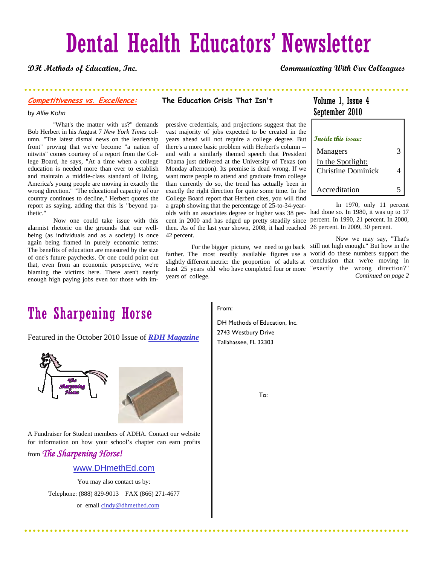# Dental Health Educators' Newsletter

**DH Methods of Education, Inc. Communicating With Our Colleagues**

#### by *Alfie Kohn*

 "What's the matter with us?" demands Bob Herbert in his August 7 *New York Times* column. "The latest dismal news on the leadership front" proving that we've become "a nation of nitwits" comes courtesy of a report from the College Board, he says, "At a time when a college education is needed more than ever to establish and maintain a middle-class standard of living, America's young people are moving in exactly the wrong direction." "The educational capacity of our country continues to decline," Herbert quotes the report as saying, adding that this is "beyond pathetic."

 Now one could take issue with this alarmist rhetoric on the grounds that our wellbeing (as individuals and as a society) is once again being framed in purely economic terms: The benefits of education are measured by the size of one's future paychecks. Or one could point out that, even from an economic perspective, we're blaming the victims here. There aren't nearly enough high paying jobs even for those with im-

#### **Competitiveness vs. Excellence: The Education Crisis That Isn't**

pressive credentials, and projections suggest that the vast majority of jobs expected to be created in the years ahead will not require a college degree. But there's a more basic problem with Herbert's column - and with a similarly themed speech that President Obama just delivered at the University of Texas (on Monday afternoon). Its premise is dead wrong. If we want more people to attend and graduate from college than currently do so, the trend has actually been in exactly the right direction for quite some time. In the College Board report that Herbert cites, you will find a graph showing that the percentage of 25-to-34-yearolds with an associates degree or higher was 38 per-had done so. In 1980, it was up to 17 cent in 2000 and has edged up pretty steadily since percent. In 1990, 21 percent. In 2000, then. As of the last year shown, 2008, it had reached 26 percent. In 2009, 30 percent. 42 percent.

 For the bigger picture, we need to go back still not high enough." But how in the farther. The most readily available figures use a world do these numbers support the slightly different metric: the proportion of adults at conclusion that we're moving in least 25 years old who have completed four or more "exactly the wrong direction?" years of college.

# Volume 1, Issue 4 September 2010

| Inside this issue:                             |  |
|------------------------------------------------|--|
| Managers                                       |  |
| In the Spotlight:<br><b>Christine Dominick</b> |  |
| Accreditation                                  |  |

In 1970, only 11 percent

 Now we may say, "That's *Continued on page 2* 

# The Sharpening Horse

Featured in the October 2010 Issue of *RDH Magazine*



A Fundraiser for Student members of ADHA. Contact our website for information on how your school's chapter can earn profits from *The Sharpening Horse!*

#### www.DHmethEd.com

You may also contact us by: Telephone: (888) 829-9013 FAX (866) 271-4677 or email cindy@dhmethed.com

From:

DH Methods of Education, Inc. 2743 Westbury Drive Tallahassee, FL 32303

To: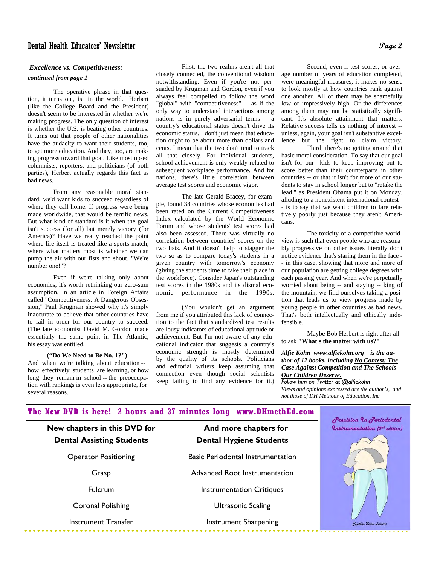#### Dental Health Educators' Newsletter  $\bm{\mathcal{P}}$

## Excellence *vs.* Competitiveness:<br>continued from page 1 *continued from page 1*

 The operative phrase in that question, it turns out, is "in the world." Herbert (like the College Board and the President) doesn't seem to be interested in whether we're making progress. The only question of interest is whether the U.S. is beating other countries. It turns out that people of other nationalities have the audacity to want their students, too, to get more education. And they, too, are making progress toward that goal. Like most op-ed columnists, reporters, and politicians (of both parties), Herbert actually regards this fact as bad news.

 From any reasonable moral standard, we'd want kids to succeed regardless of where they call home. If progress were being made worldwide, that would be terrific news. But what kind of standard is it when the goal isn't success (for all) but merely victory (for America)? Have we really reached the point where life itself is treated like a sports match, where what matters most is whether we can pump the air with our fists and shout, "We're number one!"?

 Even if we're talking only about economics, it's worth rethinking our zero-sum assumption. In an article in Foreign Affairs called "Competitiveness: A Dangerous Obsession," Paul Krugman showed why it's simply inaccurate to believe that other countries have to fail in order for our country to succeed. (The late economist David M. Gordon made essentially the same point in The Atlantic; his essay was entitled,

#### **("Do We Need to Be No. 1?")**

And when we're talking about education - how effectively students are learning, or how long they remain in school -- the preoccupation with rankings is even less appropriate, for several reasons.

 First, the two realms aren't all that closely connected, the conventional wisdom notwithstanding. Even if you're not persuaded by Krugman and Gordon, even if you always feel compelled to follow the word "global" with "competitiveness" -- as if the only way to understand interactions among nations is in purely adversarial terms -- a country's educational status doesn't drive its economic status. I don't just mean that education ought to be about more than dollars and cents. I mean that the two don't tend to track all that closely. For individual students, school achievement is only weakly related to subsequent workplace performance. And for nations, there's little correlation between average test scores and economic vigor.

 The late Gerald Bracey, for example, found 38 countries whose economies had been rated on the Current Competitiveness Index calculated by the World Economic Forum and whose students' test scores had also been assessed. There was virtually no correlation between countries' scores on the two lists. And it doesn't help to stagger the two so as to compare today's students in a given country with tomorrow's economy (giving the students time to take their place in the workforce). Consider Japan's outstanding test scores in the 1980s and its dismal economic performance in the 1990s.

 (You wouldn't get an argument from me if you attributed this lack of connection to the fact that standardized test results are lousy indicators of educational aptitude or achievement. But I'm not aware of any educational indicator that suggests a country's economic strength is mostly determined by the quality of its schools. Politicians and editorial writers keep assuming that connection even though social scientists keep failing to find any evidence for it.)

 Second, even if test scores, or average number of years of education completed, were meaningful measures, it makes no sense to look mostly at how countries rank against one another. All of them may be shamefully low or impressively high. Or the differences among them may not be statistically significant. It's absolute attainment that matters. Relative success tells us nothing of interest - unless, again, your goal isn't substantive excellence but the right to claim victory.

 Third, there's no getting around that basic moral consideration. To say that our goal isn't for our kids to keep improving but to score better than their counterparts in other countries -- or that it isn't for more of our students to stay in school longer but to "retake the lead," as President Obama put it on Monday, alluding to a nonexistent international contest - - is to say that we want children to fare relatively poorly just because they aren't Americans.

 The toxicity of a competitive worldview is such that even people who are reasonably progressive on other issues literally don't notice evidence that's staring them in the face - - in this case, showing that more and more of our population are getting college degrees with each passing year. And when we're perpetually worried about being -- and staying -- king of the mountain, we find ourselves taking a position that leads us to view progress made by young people in other countries as bad news. That's both intellectually and ethically indefensible.

 Maybe Bob Herbert is right after all to ask **"What's the matter with us?"** 

*Alfie Kohn www.alfiekohn.org is the author of 12 books, including No Contest: The Case Against Competition and The Schools Our Children Deserve.* 

*Follow him on Twitter at @alfiekohn Views and opinions expressed are the author's, and not those of DH Methods of Education, Inc.* 

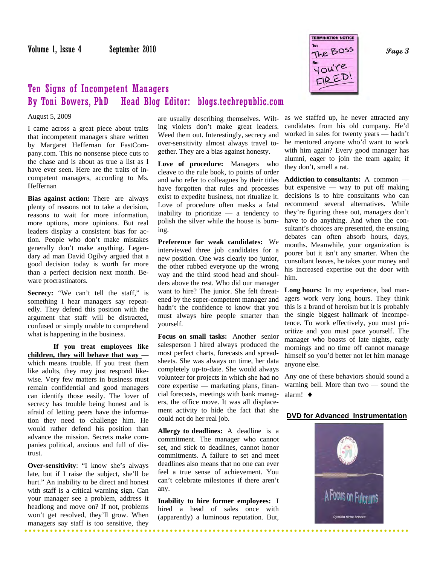

## Ten Signs of Incompetent Managers By Toni Bowers, PhD Head Blog Editor: blogs.techrepublic.com

August 5, 2009

I came across a great piece about traits that incompetent managers share written by Margaret Heffernan for FastCompany.com. This no nonsense piece cuts to the chase and is about as true a list as I have ever seen. Here are the traits of incompetent managers, according to Ms. Heffernan

**Bias against action:** There are always plenty of reasons not to take a decision, reasons to wait for more information, more options, more opinions. But real leaders display a consistent bias for action. People who don't make mistakes generally don't make anything. Legendary ad man David Ogilvy argued that a good decision today is worth far more than a perfect decision next month. Beware procrastinators.

**Secrecy:** "We can't tell the staff," is something I hear managers say repeatedly. They defend this position with the argument that staff will be distracted, confused or simply unable to comprehend what is happening in the business.

**If you treat employees like children, they will behave that way**  which means trouble. If you treat them like adults, they may just respond likewise. Very few matters in business must remain confidential and good managers can identify those easily. The lover of secrecy has trouble being honest and is afraid of letting peers have the information they need to challenge him. He would rather defend his position than advance the mission. Secrets make companies political, anxious and full of distrust.

**Over-sensitivity**: "I know she's always late, but if I raise the subject, she'll be hurt." An inability to be direct and honest with staff is a critical warning sign. Can your manager see a problem, address it headlong and move on? If not, problems won't get resolved, they'll grow. When managers say staff is too sensitive, they are usually describing themselves. Wilting violets don't make great leaders. Weed them out. Interestingly, secrecy and over-sensitivity almost always travel together. They are a bias against honesty.

**Love of procedure:** Managers who cleave to the rule book, to points of order and who refer to colleagues by their titles have forgotten that rules and processes exist to expedite business, not ritualize it. Love of procedure often masks a fatal inability to prioritize — a tendency to polish the silver while the house is burning.

**Preference for weak candidates:** We interviewed three job candidates for a new position. One was clearly too junior, the other rubbed everyone up the wrong way and the third stood head and shoulders above the rest. Who did our manager want to hire? The junior. She felt threatened by the super-competent manager and hadn't the confidence to know that you must always hire people smarter than yourself.

**Focus on small tasks:** Another senior salesperson I hired always produced the most perfect charts, forecasts and spreadsheets. She was always on time, her data completely up-to-date. She would always volunteer for projects in which she had no core expertise — marketing plans, financial forecasts, meetings with bank managers, the office move. It was all displacement activity to hide the fact that she could not do her real job.

**Allergy to deadlines:** A deadline is a commitment. The manager who cannot set, and stick to deadlines, cannot honor commitments. A failure to set and meet deadlines also means that no one can ever feel a true sense of achievement. You can't celebrate milestones if there aren't any.

**Inability to hire former employees:** I hired a head of sales once with (apparently) a luminous reputation. But,

as we staffed up, he never attracted any candidates from his old company. He'd worked in sales for twenty years — hadn't he mentored anyone who'd want to work with him again? Every good manager has alumni, eager to join the team again; if they don't, smell a rat.

**Addiction to consultants:** A common but expensive — way to put off making decisions is to hire consultants who can recommend several alternatives. While they're figuring these out, managers don't have to do anything. And when the consultant's choices are presented, the ensuing debates can often absorb hours, days, months. Meanwhile, your organization is poorer but it isn't any smarter. When the consultant leaves, he takes your money and his increased expertise out the door with him.

**Long hours:** In my experience, bad managers work very long hours. They think this is a brand of heroism but it is probably the single biggest hallmark of incompetence. To work effectively, you must prioritize and you must pace yourself. The manager who boasts of late nights, early mornings and no time off cannot manage himself so you'd better not let him manage anyone else.

Any one of these behaviors should sound a warning bell. More than two — sound the alarm! ♦

#### **DVD for Advanced Instrumentation**



.....................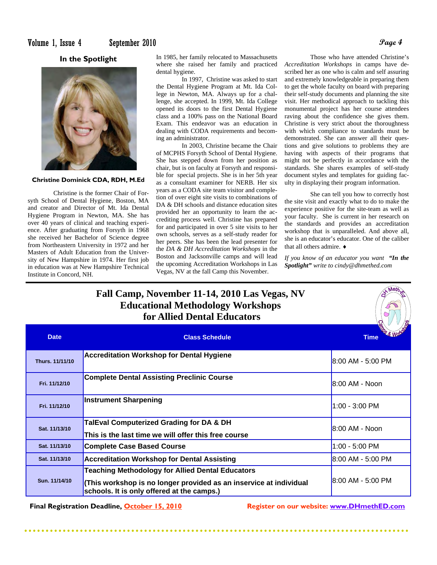## Volume 1, Issue 4 September 2010 **Page 4**

#### **In the Spotlight**



#### **Christine Dominick CDA, RDH, M.Ed**

 Christine is the former Chair of Forsyth School of Dental Hygiene, Boston, MA and creator and Director of Mt. Ida Dental Hygiene Program in Newton, MA. She has over 40 years of clinical and teaching experience. After graduating from Forsyth in 1968 she received her Bachelor of Science degree from Northeastern University in 1972 and her Masters of Adult Education from the University of New Hampshire in 1974. Her first job in education was at New Hampshire Technical Institute in Concord, NH.

In 1985, her family relocated to Massachusetts where she raised her family and practiced dental hygiene.

 In 1997, Christine was asked to start the Dental Hygiene Program at Mt. Ida College in Newton, MA. Always up for a challenge, she accepted. In 1999, Mt. Ida College opened its doors to the first Dental Hygiene class and a 100% pass on the National Board Exam. This endeavor was an education in dealing with CODA requirements and becoming an administrator.

 In 2003, Christine became the Chair of MCPHS Forsyth School of Dental Hygiene. She has stepped down from her position as chair, but is on faculty at Forsyth and responsible for special projects. She is in her 5th year as a consultant examiner for NERB. Her six years as a CODA site team visitor and completion of over eight site visits to combinations of DA & DH schools and distance education sites provided her an opportunity to learn the accrediting process well. Christine has prepared for and participated in over 5 site visits to her own schools, serves as a self-study reader for her peers. She has been the lead presenter for the *DA & DH Accreditation Workshops* in the Boston and Jacksonville camps and will lead the upcoming Accreditation Workshops in Las Vegas, NV at the fall Camp this November.

 Those who have attended Christine's *Accreditation Workshops* in camps have described her as one who is calm and self assuring and extremely knowledgeable in preparing them to get the whole faculty on board with preparing their self-study documents and planning the site visit. Her methodical approach to tackling this monumental project has her course attendees raving about the confidence she gives them. Christine is very strict about the thoroughness with which compliance to standards must be demonstrated. She can answer all their questions and give solutions to problems they are having with aspects of their programs that might not be perfectly in accordance with the standards. She shares examples of self-study document styles and templates for guiding faculty in displaying their program information.

 She can tell you how to correctly host the site visit and exactly what to do to make the experience positive for the site-team as well as your faculty. She is current in her research on the standards and provides an accreditation workshop that is unparalleled. And above all, she is an educator's educator. One of the caliber that all others admire. ♦

*If you know of an educator you want "In the Spotlight" write to cindy@dhmethed.com* 

|                 | Fall Camp, November 11-14, 2010 Las Vegas, NV<br><b>Educational Methodology Workshops</b><br>for Allied Dental Educators                                                    | Mei               |
|-----------------|-----------------------------------------------------------------------------------------------------------------------------------------------------------------------------|-------------------|
| <b>Date</b>     | <b>Class Schedule</b>                                                                                                                                                       | Time              |
| Thurs. 11/11/10 | <b>Accreditation Workshop for Dental Hygiene</b>                                                                                                                            | 8:00 AM - 5:00 PM |
| Fri. 11/12/10   | <b>Complete Dental Assisting Preclinic Course</b>                                                                                                                           | $8:00$ AM - Noon  |
| Fri. 11/12/10   | <b>Instrument Sharpening</b>                                                                                                                                                | $1:00 - 3:00$ PM  |
| Sat. 11/13/10   | TalEval Computerized Grading for DA & DH<br>This is the last time we will offer this free course                                                                            | 8:00 AM - Noon    |
| Sat. 11/13/10   | <b>Complete Case Based Course</b>                                                                                                                                           | $1:00 - 5:00$ PM  |
| Sat. 11/13/10   | <b>Accreditation Workshop for Dental Assisting</b>                                                                                                                          | 8:00 AM - 5:00 PM |
| Sun. 11/14/10   | <b>Teaching Methodology for Allied Dental Educators</b><br>(This workshop is no longer provided as an inservice at individual<br>schools. It is only offered at the camps.) | 8:00 AM - 5:00 PM |

**Final Registration Deadline, October 15, 2010 Register on our website: www.DHmethED.com** 

.....................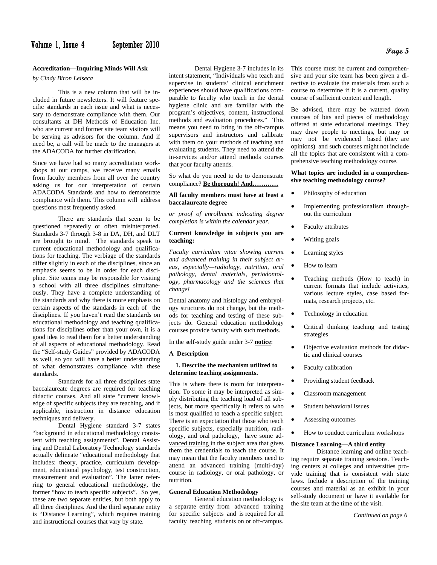#### **Accreditation—Inquiring Minds Will Ask**

*by Cindy Biron Leiseca*

 This is a new column that will be included in future newsletters. It will feature specific standards in each issue and what is necessary to demonstrate compliance with them. Our consultants at DH Methods of Education Inc. who are current and former site team visitors will be serving as advisors for the column. And if need be, a call will be made to the managers at the ADACODA for further clarification.

Since we have had so many accreditation workshops at our camps, we receive many emails from faculty members from all over the country asking us for our interpretation of certain ADACODA Standards and how to demonstrate compliance with them. This column will address questions most frequently asked.

 There are standards that seem to be questioned repeatedly or often misinterpreted. Standards 3-7 through 3-8 in DA, DH, and DLT are brought to mind. The standards speak to current educational methodology and qualifications for teaching. The verbiage of the standards differ slightly in each of the disciplines, since an emphasis seems to be in order for each discipline. Site teams may be responsible for visiting a school with all three disciplines simultaneously. They have a complete understanding of the standards and why there is more emphasis on certain aspects of the standards in each of the disciplines. If you haven't read the standards on educational methodology and teaching qualifications for disciplines other than your own, it is a good idea to read them for a better understanding of all aspects of educational methodology. Read the "Self-study Guides" provided by ADACODA as well, so you will have a better understanding of what demonstrates compliance with these standards.

 Standards for all three disciplines state baccalaureate degrees are required for teaching didactic courses. And all state "current knowledge of specific subjects they are teaching, and if applicable, instruction in distance education techniques and delivery.

 Dental Hygiene standard 3-7 states "background in educational methodology consistent with teaching assignments". Dental Assisting and Dental Laboratory Technology standards actually delineate "educational methodology that includes: theory, practice, curriculum development, educational psychology, test construction, measurement and evaluation". The latter referring to general educational methodology, the former "how to teach specific subjects". So yes, these are two separate entities, but both apply to all three disciplines. And the third separate entity is "Distance Learning", which requires training and instructional courses that vary by state.

 Dental Hygiene 3-7 includes in its intent statement, "Individuals who teach and supervise in students' clinical enrichment experiences should have qualifications comparable to faculty who teach in the dental hygiene clinic and are familiar with the program's objectives, content, instructional methods and evaluation procedures." This means you need to bring in the off-campus supervisors and instructors and calibrate with them on your methods of teaching and evaluating students. They need to attend the in-services and/or attend methods courses that your faculty attends.

So what do you need to do to demonstrate compliance? **Be thorough! And…………**

#### **All faculty members must have at least a baccalaureate degree**

*or proof of enrollment indicating degree completion is within the calendar year.*

#### **Current knowledge in subjects you are teaching:**

*Faculty curriculum vitae showing current and advanced training in their subject areas, especially—radiology, nutrition, oral pathology, dental materials, periodontology, pharmacology and the sciences that change!* 

Dental anatomy and histology and embryology structures do not change, but the methods for teaching and testing of these subjects do. General education methodology courses provide faculty with such methods.

In the self-study guide under 3-7 **notice**:

#### **A Description**

#### **1. Describe the mechanism utilized to determine teaching assignments.**

This is where there is room for interpretation. To some it may be interpreted as simply distributing the teaching load of all subjects, but more specifically it refers to who is most qualified to teach a specific subject. There is an expectation that those who teach specific subjects, especially nutrition, radiology, and oral pathology, have some advanced training in the subject area that gives them the credentials to teach the course. It may mean that the faculty members need to attend an advanced training (multi-day) course in radiology, or oral pathology, or nutrition.

#### **General Education Methodology**

General education methodology is a separate entity from advanced training for specific subjects and is required for all faculty teaching students on or off-campus. This course must be current and comprehensive and your site team has been given a directive to evaluate the materials from such a course to determine if it is a current, quality course of sufficient content and length.

Be advised, there may be watered down courses of bits and pieces of methodology offered at state educational meetings. They may draw people to meetings, but may or may not be evidenced based (they are opinions) and such courses might not include all the topics that are consistent with a comprehensive teaching methodology course.

#### **What topics are included in a comprehensive teaching methodology course?**

- Philosophy of education
- Implementing professionalism throughout the curriculum
- Faculty attributes
	- Writing goals
- Learning styles
- How to learn
- Teaching methods (How to teach) in current formats that include activities, various lecture styles, case based formats, research projects, etc.
- Technology in education
- Critical thinking teaching and testing strategies
- Objective evaluation methods for didactic and clinical courses
- Faculty calibration
- Providing student feedback
- Classroom management
- Student behavioral issues
- Assessing outcomes
- How to conduct curriculum workshops

#### **Distance Learning—A third entity**

Distance learning and online teaching require separate training sessions. Teaching centers at colleges and universities provide training that is consistent with state laws. Include a description of the training courses and material as an exhibit in your self-study document or have it available for the site team at the time of the visit.

## **Page 5**